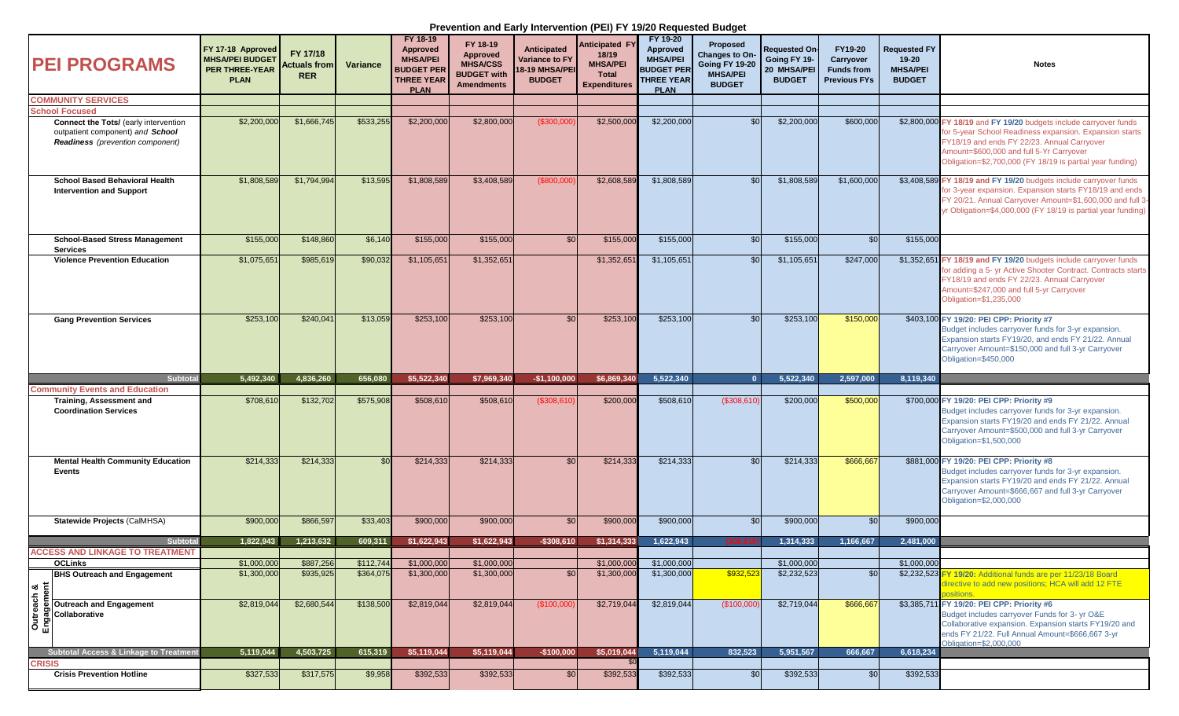## **Prevention and Early Intervention (PEI) FY 19/20 Requested Budget**

| <b>PEI PROGRAMS</b>                                                                                                  | FY 17-18 Approved<br><b>MHSA/PEI BUDGET</b><br><b>PER THREE-YEAR</b><br><b>PLAN</b> | FY 17/18<br><b>Actuals from</b><br><b>RER</b> | Variance  | FY 18-19<br>Approved<br><b>MHSA/PEI</b><br><b>BUDGET PER</b><br><b>THREE YEAR</b><br><b>PLAN</b> | FY 18-19<br><b>Approved</b><br><b>MHSA/CSS</b><br><b>BUDGET with</b><br><b>Amendments</b> | Anticipated<br><b>Variance to FY</b><br>18-19 MHSA/PEI<br><b>BUDGET</b> | Anticipated F<br>18/19<br><b>MHSA/PEI</b><br>Total<br><b>Expenditures</b> | FY 19-20<br><b>Approved</b><br><b>MHSA/PEI</b><br><b>BUDGET PER</b><br><b>THREE YEAR</b><br><b>PLAN</b> | Proposed<br>Changes to On-<br><b>Going FY 19-20</b><br><b>MHSA/PEI</b><br><b>BUDGET</b> | <b>Requested On-</b><br>Going FY 19-<br>20 MHSA/PEI<br><b>BUDGET</b> | FY19-20<br>Carryover<br><b>Funds from</b><br><b>Previous FYs</b> | <b>Requested FY</b><br>$19 - 20$<br><b>MHSA/PEI</b><br><b>BUDGET</b> | <b>Notes</b>                                                                                                                                                                                                                                                                         |
|----------------------------------------------------------------------------------------------------------------------|-------------------------------------------------------------------------------------|-----------------------------------------------|-----------|--------------------------------------------------------------------------------------------------|-------------------------------------------------------------------------------------------|-------------------------------------------------------------------------|---------------------------------------------------------------------------|---------------------------------------------------------------------------------------------------------|-----------------------------------------------------------------------------------------|----------------------------------------------------------------------|------------------------------------------------------------------|----------------------------------------------------------------------|--------------------------------------------------------------------------------------------------------------------------------------------------------------------------------------------------------------------------------------------------------------------------------------|
| <b>COMMUNITY SERVICES</b>                                                                                            |                                                                                     |                                               |           |                                                                                                  |                                                                                           |                                                                         |                                                                           |                                                                                                         |                                                                                         |                                                                      |                                                                  |                                                                      |                                                                                                                                                                                                                                                                                      |
| <b>School Focused</b>                                                                                                |                                                                                     |                                               |           |                                                                                                  |                                                                                           |                                                                         |                                                                           |                                                                                                         |                                                                                         |                                                                      |                                                                  |                                                                      |                                                                                                                                                                                                                                                                                      |
| Connect the Tots/ (early intervention<br>outpatient component) and School<br><b>Readiness</b> (prevention component) | \$2,200,000                                                                         | \$1,666,745                                   | \$533,255 | \$2,200,000                                                                                      | \$2,800,000                                                                               | (S300,00)                                                               | \$2,500,00                                                                | \$2,200,000                                                                                             | \$0                                                                                     | \$2,200,000                                                          | \$600,000                                                        |                                                                      | \$2,800,000 FY 18/19 and FY 19/20 budgets include carryover funds<br>for 5-year School Readiness expansion. Expansion starts<br>FY18/19 and ends FY 22/23. Annual Carryover<br>Amount=\$600,000 and full 5-Yr Carryover<br>Obligation=\$2,700,000 (FY 18/19 is partial year funding) |
| <b>School Based Behavioral Health</b><br><b>Intervention and Support</b>                                             | \$1,808,589                                                                         | \$1,794,994                                   | \$13,595  | \$1,808,589                                                                                      | \$3,408,589                                                                               | (\$800,000                                                              | \$2,608,589                                                               | \$1,808,589                                                                                             | \$0                                                                                     | \$1,808,589                                                          | \$1,600,000                                                      |                                                                      | \$3,408,589 FY 18/19 and FY 19/20 budgets include carryover funds<br>for 3-year expansion. Expansion starts FY18/19 and ends<br>FY 20/21. Annual Carryover Amount=\$1,600,000 and full 3-<br>yr Obligation=\$4,000,000 (FY 18/19 is partial year funding)                            |
| <b>School-Based Stress Management</b><br><b>Services</b>                                                             | \$155,000                                                                           | \$148,860                                     | \$6,140   | \$155,000                                                                                        | \$155,000                                                                                 | \$0                                                                     | \$155,000                                                                 | \$155,000                                                                                               | \$0                                                                                     | \$155,000                                                            | \$0                                                              | \$155,000                                                            |                                                                                                                                                                                                                                                                                      |
| <b>Violence Prevention Education</b>                                                                                 | \$1,075,651                                                                         | \$985,619                                     | \$90,032  | \$1,105,651                                                                                      | \$1,352,651                                                                               |                                                                         | \$1,352,65                                                                | \$1,105,651                                                                                             | \$0                                                                                     | \$1,105,651                                                          | \$247,000                                                        |                                                                      | \$1,352,651 FY 18/19 and FY 19/20 budgets include carryover funds<br>for adding a 5- yr Active Shooter Contract. Contracts starts<br>FY18/19 and ends FY 22/23. Annual Carryover<br>Amount=\$247,000 and full 5-yr Carryover<br>Obligation=\$1,235,000                               |
| <b>Gang Prevention Services</b>                                                                                      | \$253,100                                                                           | \$240,041                                     | \$13,059  | \$253,100                                                                                        | \$253,100                                                                                 | SO <sub>1</sub>                                                         | \$253,100                                                                 | \$253,100                                                                                               | \$0                                                                                     | \$253,100                                                            | \$150,000                                                        |                                                                      | \$403,100 FY 19/20: PEI CPP: Priority #7<br>Budget includes carryover funds for 3-yr expansion.<br>Expansion starts FY19/20, and ends FY 21/22, Annual<br>Carryover Amount=\$150,000 and full 3-yr Carryover<br>Obligation=\$450,000                                                 |
| Subtotal                                                                                                             | 5.492.340                                                                           | 4.836.260                                     | 656,080   | \$5.522.340                                                                                      | \$7,969,340                                                                               | $-$1,100,000$                                                           | \$6.869.340                                                               | 5.522.340                                                                                               | $\Omega$                                                                                | 5.522.340                                                            | 2,597,000                                                        | 8,119,340                                                            |                                                                                                                                                                                                                                                                                      |
| <b>Community Events and Education</b>                                                                                |                                                                                     |                                               |           |                                                                                                  |                                                                                           |                                                                         |                                                                           |                                                                                                         |                                                                                         |                                                                      |                                                                  |                                                                      |                                                                                                                                                                                                                                                                                      |
| Training, Assessment and<br><b>Coordination Services</b>                                                             | \$708,610                                                                           | \$132,702                                     | \$575,908 | \$508,610                                                                                        | \$508,610                                                                                 | (\$308,610                                                              | \$200,000                                                                 | \$508,610                                                                                               | (\$308,610)                                                                             | \$200,000                                                            | \$500,000                                                        |                                                                      | \$700,000 FY 19/20: PEI CPP: Priority #9<br>Budget includes carryover funds for 3-yr expansion.<br>Expansion starts FY19/20 and ends FY 21/22. Annual<br>Carryover Amount=\$500,000 and full 3-yr Carryover<br>Obligation=\$1,500,000                                                |
| <b>Mental Health Community Education</b><br><b>Events</b>                                                            | \$214.333                                                                           | \$214,333                                     | \$0       | \$214,333                                                                                        | \$214,333                                                                                 | \$0                                                                     | \$214,333                                                                 | \$214,333                                                                                               | \$0                                                                                     | \$214,333                                                            | \$666,667                                                        |                                                                      | \$881,000 FY 19/20: PEI CPP: Priority #8<br>Budget includes carryover funds for 3-yr expansion.<br>Expansion starts FY19/20 and ends FY 21/22. Annual<br>Carryover Amount=\$666,667 and full 3-yr Carryover<br>Obligation=\$2,000,000                                                |
| Statewide Projects (CalMHSA)                                                                                         | \$900,000                                                                           | \$866,597                                     | \$33,403  | \$900,000                                                                                        | \$900,000                                                                                 | \$0                                                                     | \$900,000                                                                 | \$900,000                                                                                               | \$0                                                                                     | \$900,000                                                            | \$0                                                              | \$900,000                                                            |                                                                                                                                                                                                                                                                                      |
| Subtotal                                                                                                             | 1,822,943                                                                           | 1,213,632                                     | 609,311   | \$1,622,943                                                                                      | \$1,622,943                                                                               | $-$308,610$                                                             | \$1,314,333                                                               | 1,622,943                                                                                               |                                                                                         | 1,314,333                                                            | 1,166,667                                                        | 2,481,000                                                            |                                                                                                                                                                                                                                                                                      |
| <b>ACCESS AND LINKAGE TO TREATMENT</b>                                                                               |                                                                                     |                                               |           |                                                                                                  |                                                                                           |                                                                         |                                                                           |                                                                                                         |                                                                                         |                                                                      |                                                                  |                                                                      |                                                                                                                                                                                                                                                                                      |
| <b>OCLinks</b>                                                                                                       | \$1,000,000                                                                         | \$887,256                                     | \$112,744 | \$1,000,000                                                                                      | \$1,000,000                                                                               |                                                                         | \$1,000,000                                                               | \$1,000,000                                                                                             |                                                                                         | \$1,000,000                                                          |                                                                  | \$1,000,000                                                          |                                                                                                                                                                                                                                                                                      |
| <b>BHS Outreach and Engagement</b><br>$\left \frac{1}{2} \right $                                                    | \$1,300,000                                                                         | \$935,925                                     | \$364,075 | \$1,300,000                                                                                      | \$1,300,000                                                                               | \$0                                                                     | \$1,300,000                                                               | \$1,300,000                                                                                             | \$932,523                                                                               | \$2,232,523                                                          | \$0                                                              |                                                                      | \$2,232,523 FY 19/20: Additional funds are per 11/23/18 Board<br>directive to add new positions; HCA will add 12 FTE<br><b>ositions</b>                                                                                                                                              |
| Outreach<br>Outreach and Engagement<br>စီရှိ Collaborative<br>ကြို<br>ကြို                                           | \$2,819,044                                                                         | \$2,680,544                                   | \$138,500 | \$2,819,044                                                                                      | \$2,819,044                                                                               | (\$100,000                                                              | \$2,719,044                                                               | \$2,819,044                                                                                             | (\$100,000                                                                              | \$2,719,044                                                          | \$666,667                                                        |                                                                      | \$3,385,711 FY 19/20: PEI CPP: Priority #6<br>Budget includes carryover Funds for 3- yr O&E<br>Collaborative expansion. Expansion starts FY19/20 and<br>ends FY 21/22. Full Annual Amount=\$666,667 3-yr<br>Obligation=\$2,000,000                                                   |
| Subtotal Access & Linkage to Treatment                                                                               | 5,119,044                                                                           | 4,503,725                                     | 615,319   | \$5,119,044                                                                                      | \$5,119,044                                                                               | $-$100,000$                                                             | \$5,019,044                                                               | 5,119,044                                                                                               | 832,523                                                                                 | 5,951,567                                                            | 666,667                                                          | 6,618,234                                                            |                                                                                                                                                                                                                                                                                      |
| CRISIS                                                                                                               |                                                                                     |                                               |           |                                                                                                  |                                                                                           |                                                                         |                                                                           |                                                                                                         |                                                                                         |                                                                      |                                                                  |                                                                      |                                                                                                                                                                                                                                                                                      |
| <b>Crisis Prevention Hotline</b>                                                                                     | \$327,533                                                                           | \$317,575                                     | \$9,958   | \$392,533                                                                                        | \$392,533                                                                                 | \$0                                                                     | \$392,533                                                                 | \$392,533                                                                                               | \$0                                                                                     | \$392,533                                                            | \$0                                                              | \$392,533                                                            |                                                                                                                                                                                                                                                                                      |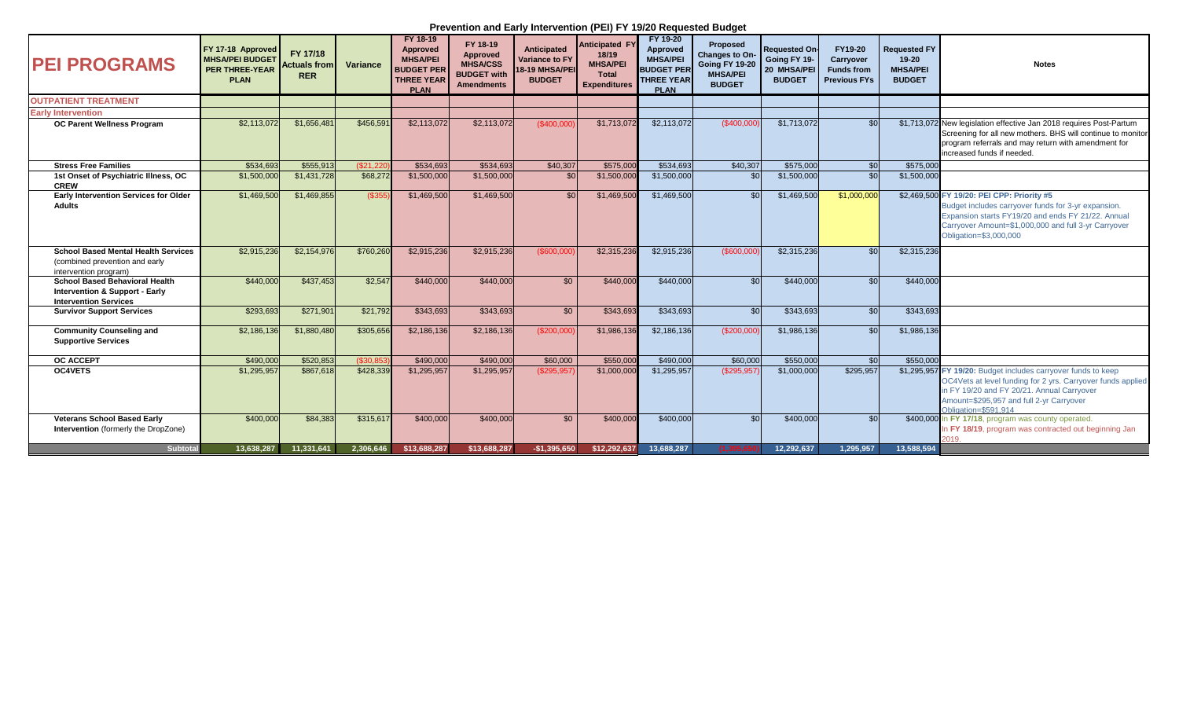## **Prevention and Early Intervention (PEI) FY 19/20 Requested Budget**

| <b>IPEI PROGRAMS</b>                                                                                               | FY 17-18 Approved<br><b>MHSA/PEI BUDGET</b><br><b>PER THREE-YEAR</b><br><b>PLAN</b> | FY 17/18<br><b>Actuals from</b><br><b>RER</b> | Variance  | FY 18-19<br><b>Approved</b><br><b>MHSA/PEI</b><br><b>BUDGET PER</b><br><b>THREE YEAR</b><br><b>PLAN</b> | FY 18-19<br>Approved<br><b>MHSA/CSS</b><br><b>BUDGET with</b><br><b>Amendments</b> | <b>Anticipated</b><br><b>Variance to FY</b><br>18-19 MHSA/PEI<br><b>BUDGET</b> | <b>Anticipated F</b><br>18/19<br><b>MHSA/PEI</b><br><b>Total</b><br><b>Expenditures</b> | FY 19-20<br>Approved<br><b>MHSA/PEI</b><br><b>BUDGET PER</b><br><b>THREE YEAR</b><br><b>PLAN</b> | <b>Proposed</b><br>Changes to On-<br><b>Going FY 19-20</b><br><b>MHSA/PEI</b><br><b>BUDGET</b> | <b>Requested On-</b><br>Going FY 19-<br>20 MHSA/PEI<br><b>BUDGET</b> | FY19-20<br>Carryover<br><b>Funds from</b><br><b>Previous FYs</b> | <b>Requested FY</b><br>$19 - 20$<br><b>MHSA/PEI</b><br><b>BUDGET</b> | <b>Notes</b>                                                                                                                                                                                                                                   |
|--------------------------------------------------------------------------------------------------------------------|-------------------------------------------------------------------------------------|-----------------------------------------------|-----------|---------------------------------------------------------------------------------------------------------|------------------------------------------------------------------------------------|--------------------------------------------------------------------------------|-----------------------------------------------------------------------------------------|--------------------------------------------------------------------------------------------------|------------------------------------------------------------------------------------------------|----------------------------------------------------------------------|------------------------------------------------------------------|----------------------------------------------------------------------|------------------------------------------------------------------------------------------------------------------------------------------------------------------------------------------------------------------------------------------------|
| <b>OUTPATIENT TREATMENT</b>                                                                                        |                                                                                     |                                               |           |                                                                                                         |                                                                                    |                                                                                |                                                                                         |                                                                                                  |                                                                                                |                                                                      |                                                                  |                                                                      |                                                                                                                                                                                                                                                |
| <b>Early Intervention</b>                                                                                          |                                                                                     |                                               |           |                                                                                                         |                                                                                    |                                                                                |                                                                                         |                                                                                                  |                                                                                                |                                                                      |                                                                  |                                                                      |                                                                                                                                                                                                                                                |
| OC Parent Wellness Program                                                                                         | \$2,113,072                                                                         | \$1,656,481                                   | \$456.591 | \$2,113,072                                                                                             | \$2,113,072                                                                        | (\$400,000                                                                     | \$1,713,072                                                                             | \$2,113,072                                                                                      | (\$400.000                                                                                     | \$1,713,072                                                          | \$0                                                              |                                                                      | \$1,713,072 New legislation effective Jan 2018 requires Post-Partum<br>Screening for all new mothers. BHS will continue to monitor<br>program referrals and may return with amendment for<br>lincreased funds if needed.                       |
| <b>Stress Free Families</b>                                                                                        | \$534,693                                                                           | \$555,913                                     | (S21.22)  | \$534,693                                                                                               | \$534,693                                                                          | \$40,307                                                                       | \$575,00                                                                                | \$534,693                                                                                        | \$40,307                                                                                       | \$575,000                                                            | $\mathcal{S}$                                                    | \$575,000                                                            |                                                                                                                                                                                                                                                |
| 1st Onset of Psychiatric Illness, OC<br><b>CREW</b>                                                                | \$1,500,000                                                                         | \$1,431,728                                   | \$68,272  | \$1,500,000                                                                                             | \$1,500,000                                                                        | \$0                                                                            | \$1,500,000                                                                             | \$1,500,000                                                                                      | \$0                                                                                            | \$1,500,000                                                          | \$0                                                              | \$1,500,000                                                          |                                                                                                                                                                                                                                                |
| <b>Early Intervention Services for Older</b><br><b>Adults</b>                                                      | \$1,469,500                                                                         | \$1,469,855                                   | (\$355    | \$1,469,500                                                                                             | \$1,469,500                                                                        | \$0                                                                            | \$1,469,500                                                                             | \$1,469,500                                                                                      | \$0                                                                                            | \$1,469,500                                                          | \$1,000,000                                                      |                                                                      | \$2,469,500 FY 19/20: PEI CPP: Priority #5<br>Budget includes carryover funds for 3-yr expansion.<br>Expansion starts FY19/20 and ends FY 21/22. Annual<br>Carryover Amount=\$1,000,000 and full 3-yr Carryover<br>Obligation=\$3,000,000      |
| <b>School Based Mental Health Services</b><br>(combined prevention and early<br>intervention program)              | \$2,915,236                                                                         | \$2,154,976                                   | \$760,260 | \$2,915,236                                                                                             | \$2,915,236                                                                        | (\$600,000                                                                     | \$2,315,236                                                                             | \$2,915,236                                                                                      | (\$600,000                                                                                     | \$2,315,236                                                          | \$0                                                              | \$2,315,236                                                          |                                                                                                                                                                                                                                                |
| <b>School Based Behavioral Health</b><br><b>Intervention &amp; Support - Early</b><br><b>Intervention Services</b> | \$440,000                                                                           | \$437.453                                     | \$2.547   | \$440,000                                                                                               | \$440,000                                                                          | \$0                                                                            | \$440,000                                                                               | \$440,000                                                                                        | \$0                                                                                            | \$440,000                                                            | \$0                                                              | \$440,000                                                            |                                                                                                                                                                                                                                                |
| <b>Survivor Support Services</b>                                                                                   | \$293,693                                                                           | \$271.901                                     | \$21.792  | \$343.693                                                                                               | \$343.693                                                                          | \$0                                                                            | \$343,693                                                                               | \$343,693                                                                                        | \$0                                                                                            | \$343.693                                                            | \$0                                                              | \$343.693                                                            |                                                                                                                                                                                                                                                |
| <b>Community Counseling and</b><br><b>Supportive Services</b>                                                      | \$2,186,136                                                                         | \$1,880,480                                   | \$305.656 | \$2,186,136                                                                                             | \$2,186,136                                                                        | (\$200,000                                                                     | \$1.986.136                                                                             | \$2,186,136                                                                                      | (\$200.000                                                                                     | \$1,986,136                                                          | \$0                                                              | \$1,986,136                                                          |                                                                                                                                                                                                                                                |
| <b>OC ACCEPT</b>                                                                                                   | \$490,000                                                                           | \$520.853                                     | ( \$30.85 | \$490,000                                                                                               | \$490,000                                                                          | \$60,000                                                                       | \$550,000                                                                               | \$490,000                                                                                        | \$60,000                                                                                       | \$550,000                                                            | \$0                                                              | \$550,000                                                            |                                                                                                                                                                                                                                                |
| <b>OC4VETS</b>                                                                                                     | \$1,295,957                                                                         | \$867,618                                     | \$428,339 | \$1,295,957                                                                                             | \$1,295,957                                                                        | (\$295.957                                                                     | \$1,000,000                                                                             | \$1,295,957                                                                                      | (\$295.957                                                                                     | \$1,000,000                                                          | \$295,957                                                        |                                                                      | \$1,295,957 FY 19/20: Budget includes carryover funds to keep<br>OC4Vets at level funding for 2 yrs. Carryover funds applied<br>in FY 19/20 and FY 20/21. Annual Carryover<br>Amount=\$295,957 and full 2-yr Carryover<br>Obligation=\$591.914 |
| <b>Veterans School Based Early</b><br>Intervention (formerly the DropZone)                                         | \$400,000                                                                           | \$84,383                                      | \$315,61  | \$400,000                                                                                               | \$400,000                                                                          | \$0                                                                            | \$400,000                                                                               | \$400,000                                                                                        | \$0                                                                                            | \$400,000                                                            | \$0                                                              |                                                                      | \$400,000 In FY 17/18, program was county operated.<br>In FY 18/19, program was contracted out beginning Jan<br>2019.                                                                                                                          |
| <b>Subtotal</b>                                                                                                    | 13.638.287                                                                          | 11,331,641                                    | 2,306,646 | \$13,688,287                                                                                            | \$13,688,287                                                                       | $-$1,395,650$                                                                  | \$12,292,637                                                                            | 13.688.287                                                                                       |                                                                                                | 12.292.637                                                           | 1.295.957                                                        | 13.588.594                                                           |                                                                                                                                                                                                                                                |